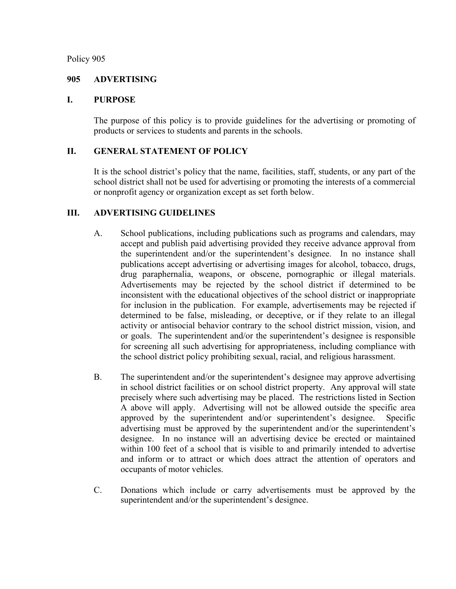Policy 905

### **905 ADVERTISING**

### **I. PURPOSE**

The purpose of this policy is to provide guidelines for the advertising or promoting of products or services to students and parents in the schools.

# **II. GENERAL STATEMENT OF POLICY**

It is the school district's policy that the name, facilities, staff, students, or any part of the school district shall not be used for advertising or promoting the interests of a commercial or nonprofit agency or organization except as set forth below.

# **III. ADVERTISING GUIDELINES**

- A. School publications, including publications such as programs and calendars, may accept and publish paid advertising provided they receive advance approval from the superintendent and/or the superintendent's designee. In no instance shall publications accept advertising or advertising images for alcohol, tobacco, drugs, drug paraphernalia, weapons, or obscene, pornographic or illegal materials. Advertisements may be rejected by the school district if determined to be inconsistent with the educational objectives of the school district or inappropriate for inclusion in the publication. For example, advertisements may be rejected if determined to be false, misleading, or deceptive, or if they relate to an illegal activity or antisocial behavior contrary to the school district mission, vision, and or goals. The superintendent and/or the superintendent's designee is responsible for screening all such advertising for appropriateness, including compliance with the school district policy prohibiting sexual, racial, and religious harassment.
- B. The superintendent and/or the superintendent's designee may approve advertising in school district facilities or on school district property. Any approval will state precisely where such advertising may be placed. The restrictions listed in Section A above will apply. Advertising will not be allowed outside the specific area approved by the superintendent and/or superintendent's designee. Specific advertising must be approved by the superintendent and/or the superintendent's designee. In no instance will an advertising device be erected or maintained within 100 feet of a school that is visible to and primarily intended to advertise and inform or to attract or which does attract the attention of operators and occupants of motor vehicles.
- C. Donations which include or carry advertisements must be approved by the superintendent and/or the superintendent's designee.